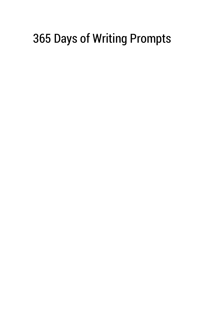## 365 Days of Writing Prompts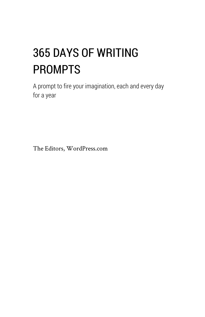# 365 DAYS OF WRITING PROMPTS

A prompt to fire your imagination, each and every day for a year

The Editors, WordPress.com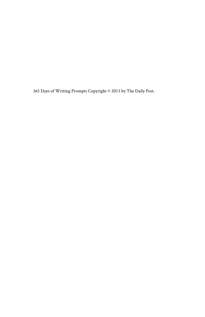365 Days of Writing Prompts Copyright © 2013 by The Daily Post.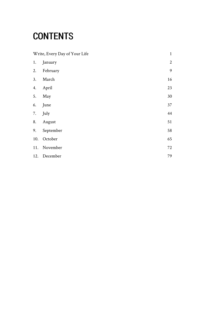## **CONTENTS**

| Write, Every Day of Your Life |              | $\mathbf{1}$     |
|-------------------------------|--------------|------------------|
| 1.                            | January      | $\boldsymbol{2}$ |
| 2.                            | February     | 9                |
| 3.                            | March        | 16               |
| 4.                            | April        | 23               |
| 5.                            | May          | 30               |
| 6.                            | June         | 37               |
| 7.                            | July         | 44               |
| 8.                            | August       | 51               |
| 9.                            | September    | 58               |
| 10.                           | October      | 65               |
| 11.                           | November     | 72               |
|                               | 12. December | 79               |
|                               |              |                  |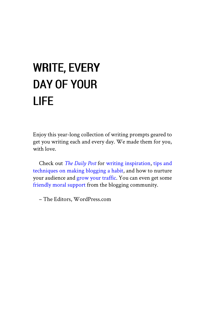# <span id="page-4-0"></span>WRITE, EVERY DAY OF YOUR LIFE

Enjoy this year-long collection of writing prompts geared to get you writing each and every day. We made them for you, with love.

Check out *The [Daily](http://dailypost.wordpress.com/) Post* for writing [inspiration,](http://dailypost.wordpress.com/category/daily-prompts/) tips [and](http://dailypost.wordpress.com/category/general-advice-pro-tips/) [techniques](http://dailypost.wordpress.com/category/general-advice-pro-tips/) on making blogging a habit, and how to nurture your audience and grow your [traffic](http://dailypost.wordpress.com/category/traffic-growth/). You can even get some [friendly moral support](http://dailypost.wordpress.com/category/community-pool/) from the blogging community.

– The Editors, WordPress.com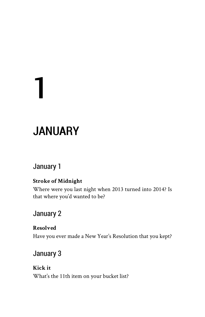# **JANUARY**

## January 1

<span id="page-5-0"></span>1

#### **Stroke of Midnight**

Where were you last night when 2013 turned into 2014? Is that where you'd wanted to be?

## January 2

#### **Resolved**

Have you ever made a New Year's Resolution that you kept?

## January 3

#### **Kick it** What's the 11th item on your bucket list?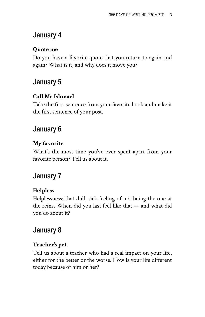#### **Quote me**

Do you have a favorite quote that you return to again and again? What is it, and why does it move you?

## January 5

#### **Call Me Ishmael**

Take the first sentence from your favorite book and make it the first sentence of your post.

#### January 6

#### **My favorite**

What's the most time you've ever spent apart from your favorite person? Tell us about it.

### January 7

#### **Helpless**

Helplessness: that dull, sick feeling of not being the one at the reins. When did you last feel like that –- and what did you do about it?

### January 8

#### **Teacher's pet**

Tell us about a teacher who had a real impact on your life, either for the better or the worse. How is your life different today because of him or her?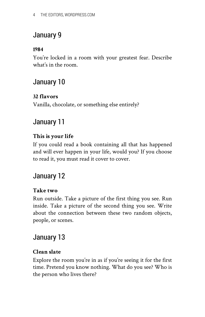#### **1984**

You're locked in a room with your greatest fear. Describe what's in the room.

## January 10

#### **32 flavors**

Vanilla, chocolate, or something else entirely?

## January 11

#### **This is your life**

If you could read a book containing all that has happened and will ever happen in your life, would you? If you choose to read it, you must read it cover to cover.

## January 12

#### **Take two**

Run outside. Take a picture of the first thing you see. Run inside. Take a picture of the second thing you see. Write about the connection between these two random objects, people, or scenes.

## January 13

#### **Clean slate**

Explore the room you're in as if you're seeing it for the first time. Pretend you know nothing. What do you see? Who is the person who lives there?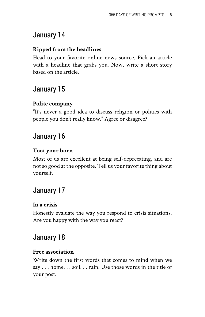#### **Ripped from the headlines**

Head to your favorite online news source. Pick an article with a headline that grabs you. Now, write a short story based on the article.

## January 15

#### **Polite company**

"It's never a good idea to discuss religion or politics with people you don't really know." Agree or disagree?

## January 16

#### **Toot your horn**

Most of us are excellent at being self-deprecating, and are not so good at the opposite. Tell us your favorite thing about yourself.

## January 17

#### **In a crisis**

Honestly evaluate the way you respond to crisis situations. Are you happy with the way you react?

## January 18

#### **Free association**

Write down the first words that comes to mind when we say . . . home. . . soil. . . rain. Use those words in the title of your post.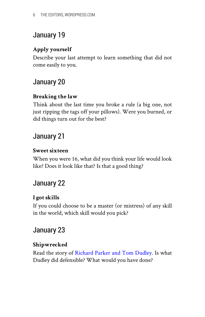#### **Apply yourself**

Describe your last attempt to learn something that did not come easily to you.

## January 20

#### **Breaking the law**

Think about the last time you broke a rule (a big one, not just ripping the tags off your pillows). Were you burned, or did things turn out for the best?

## January 21

#### **Sweet sixteen**

When you were 16, what did you think your life would look like? Does it look like that? Is that a good thing?

## January 22

#### **I got skills**

If you could choose to be a master (or mistress) of any skill in the world, which skill would you pick?

## January 23

#### **Shipwrecked**

Read the story of [Richard](http://en.wikipedia.org/wiki/R_v_Dudley_and_Stephens#Facts) Parker and Tom Dudley. Is what Dudley did defensible? What would you have done?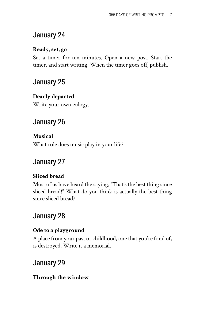#### **Ready, set, go**

Set a timer for ten minutes. Open a new post. Start the timer, and start writing. When the timer goes off, publish.

## January 25

#### **Dearly departed**

Write your own eulogy.

## January 26

**Musical** What role does music play in your life?

## January 27

#### **Sliced bread**

Most of us have heard the saying, "That's the best thing since sliced bread!" What do you think is actually the best thing since sliced bread?

## January 28

#### **Ode to a playground**

A place from your past or childhood, one that you're fond of, is destroyed. Write it a memorial.

## January 29

#### **Through the window**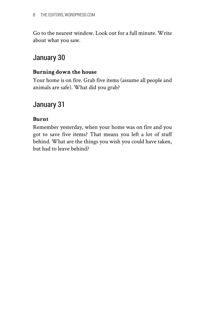Go to the nearest window. Look out for a full minute. Write about what you saw.

## January 30

#### **Burning down the house**

Your home is on fire. Grab five items (assume all people and animals are safe). What did you grab?

#### January 31

#### **Burnt**

Remember yesterday, when your home was on fire and you got to save five items? That means you left a lot of stuff behind. What are the things you wish you could have taken, but had to leave behind?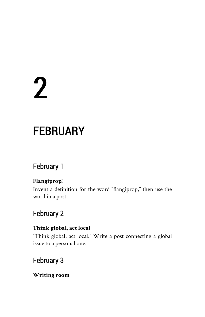# <span id="page-12-0"></span>2

## **FEBRUARY**

## February 1

#### **Flangiprop!**

Invent a definition for the word "flangiprop," then use the word in a post.

## February 2

#### **Think global, act local**

"Think global, act local." Write a post connecting a global issue to a personal one.

## February 3

#### **Writing room**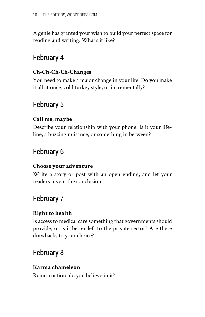A genie has granted your wish to build your perfect space for reading and writing. What's it like?

## February 4

#### **Ch-Ch-Ch-Ch-Changes**

You need to make a major change in your life. Do you make it all at once, cold turkey style, or incrementally?

## February 5

#### **Call me, maybe**

Describe your relationship with your phone. Is it your lifeline, a buzzing nuisance, or something in between?

## February 6

#### **Choose your adventure**

Write a story or post with an open ending, and let your readers invent the conclusion.

## February 7

#### **Right to health**

Is access to medical care something that governments should provide, or is it better left to the private sector? Are there drawbacks to your choice?

## February 8

#### **Karma chameleon**

Reincarnation: do you believe in it?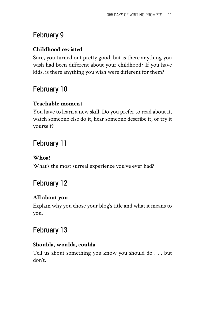#### **Childhood revisted**

Sure, you turned out pretty good, but is there anything you wish had been different about your childhood? If you have kids, is there anything you wish were different for them?

## February 10

#### **Teachable moment**

You have to learn a new skill. Do you prefer to read about it, watch someone else do it, hear someone describe it, or try it yourself?

## February 11

#### **Whoa!**

What's the most surreal experience you've ever had?

## February 12

#### **All about you**

Explain why you chose your blog's title and what it means to you.

## February 13

#### **Shoulda, woulda, coulda**

Tell us about something you know you should do . . . but don't.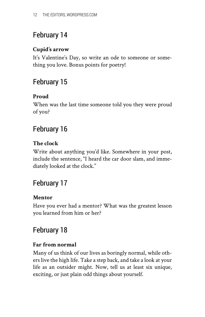#### **Cupid's arrow**

It's Valentine's Day, so write an ode to someone or something you love. Bonus points for poetry!

## February 15

#### **Proud**

When was the last time someone told you they were proud of you?

## February 16

#### **The clock**

Write about anything you'd like. Somewhere in your post, include the sentence, "I heard the car door slam, and immediately looked at the clock."

## February 17

#### **Mentor**

Have you ever had a mentor? What was the greatest lesson you learned from him or her?

## February 18

#### **Far from normal**

Many of us think of our lives as boringly normal, while others live the high life. Take a step back, and take a look at your life as an outsider might. Now, tell us at least six unique, exciting, or just plain odd things about yourself.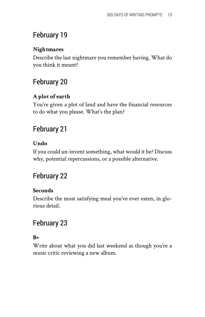#### **Nightmares**

Describe the last nightmare you remember having. What do you think it meant?

## February 20

#### **A plot of earth**

You're given a plot of land and have the financial resources to do what you please. What's the plan?

## February 21

#### **Undo**

If you could un-invent something, what would it be? Discuss why, potential repercussions, or a possible alternative.

## February 22

#### **Seconds**

Describe the most satisfying meal you've ever eaten, in glorious detail.

## February 23

#### **B+**

Write about what you did last weekend as though you're a music critic reviewing a new album.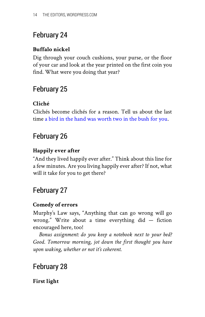#### **Buffalo nickel**

Dig through your couch cushions, your purse, or the floor of your car and look at the year printed on the first coin you find. What were you doing that year?

## February 25

#### **Cliché**

Clichés become clichés for a reason. Tell us about the last time [a bird in the hand was worth two in the bush for you.](http://www.phrases.org.uk/meanings/a-bird-in-the-hand.html)

## February 26

#### **Happily ever after**

"And they lived happily ever after." Think about this line for a few minutes. Are you living happily ever after? If not, what will it take for you to get there?

## February 27

#### **Comedy of errors**

Murphy's Law says, "Anything that can go wrong will go wrong." Write about a time everything did — fiction encouraged here, too!

*Bonus assignment: do you keep a notebook next to your bed? Good. Tomorrow morning, jot down the first thought you have upon waking, whether or not it's coherent.*

## February 28

#### **First light**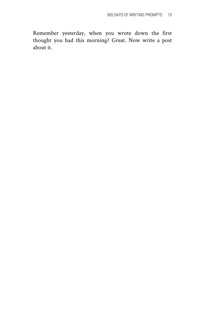Remember yesterday, when you wrote down the first thought you had this morning? Great. Now write a post about it.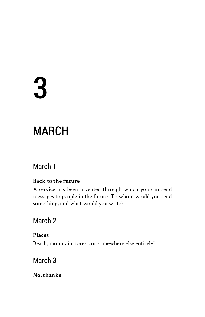# <span id="page-19-0"></span>3

## MARCH

## March 1

#### **Back to the future**

A service has been invented through which you can send messages to people in the future. To whom would you send something, and what would you write?

## March 2

**Places** Beach, mountain, forest, or somewhere else entirely?

## March 3

**No, thanks**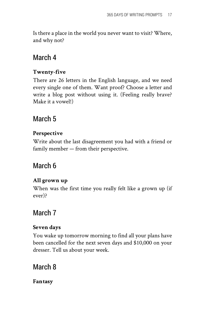Is there a place in the world you never want to visit? Where, and why not?

## March 4

#### **Twenty-five**

There are 26 letters in the English language, and we need every single one of them. Want proof? Choose a letter and write a blog post without using it. (Feeling really brave? Make it a vowel!)

## March 5

#### **Perspective**

Write about the last disagreement you had with a friend or family member — from their perspective.

## March 6

#### **All grown up**

When was the first time you really felt like a grown up (if ever)?

## March 7

#### **Seven days**

You wake up tomorrow morning to find all your plans have been cancelled for the next seven days and \$10,000 on your dresser. Tell us about your week.

## March 8

**Fantasy**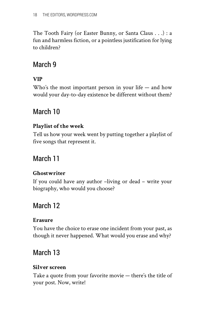The Tooth Fairy (or Easter Bunny, or Santa Claus . . .) : a fun and harmless fiction, or a pointless justification for lying to children?

## March 9

#### **VIP**

Who's the most important person in your life — and how would your day-to-day existence be different without them?

## March 10

#### **Playlist of the week**

Tell us how your week went by putting together a playlist of five songs that represent it.

## March 11

#### **Ghostwriter**

If you could have any author –living or dead – write your biography, who would you choose?

## March 12

#### **Erasure**

You have the choice to erase one incident from your past, as though it never happened. What would you erase and why?

## March 13

#### **Silver screen**

Take a quote from your favorite movie — there's the title of your post. Now, write!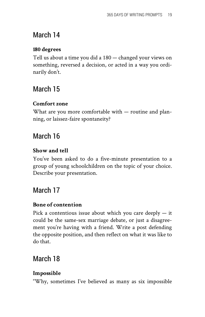## March 14

#### **180 degrees**

Tell us about a time you did a 180 — changed your views on something, reversed a decision, or acted in a way you ordinarily don't.

## March 15

#### **Comfort zone**

What are you more comfortable with — routine and planning, or laissez-faire spontaneity?

## March 16

#### **Show and tell**

You've been asked to do a five-minute presentation to a group of young schoolchildren on the topic of your choice. Describe your presentation.

## March 17

#### **Bone of contention**

Pick a contentious issue about which you care deeply — it could be the same-sex marriage debate, or just a disagreement you're having with a friend. Write a post defending the opposite position, and then reflect on what it was like to do that.

## March 18

#### **Impossible**

"Why, sometimes I've believed as many as six impossible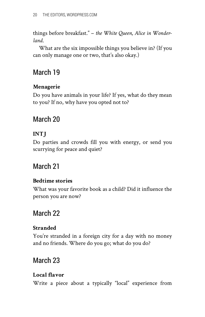things before breakfast." – *the White Queen, Alice in Wonderland*.

What are the six impossible things you believe in? (If you can only manage one or two, that's also okay.)

## March 19

#### **Menagerie**

Do you have animals in your life? If yes, what do they mean to you? If no, why have you opted not to?

## March 20

#### **INTJ**

Do parties and crowds fill you with energy, or send you scurrying for peace and quiet?

## March 21

#### **Bedtime stories**

What was your favorite book as a child? Did it influence the person you are now?

## March 22

#### **Stranded**

You're stranded in a foreign city for a day with no money and no friends. Where do you go; what do you do?

## March 23

#### **Local flavor**

Write a piece about a typically "local" experience from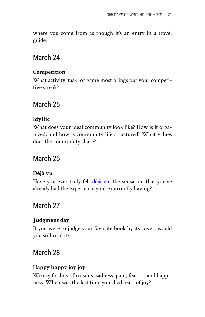where you come from as though it's an entry in a travel guide.

### March 24

#### **Competition**

What activity, task, or game most brings out your competitive streak?

### March 25

#### **Idyllic**

What does your ideal community look like? How is it organized, and how is community life structured? What values does the community share?

## March 26

#### **Déjà vu**

Have you ever truly felt [déjà](http://en.wikipedia.org/wiki/D%C3%A9j%C3%A0_vu) vu, the sensation that you've already had the experience you're currently having?

## March 27

#### **Judgment day**

If you were to judge your favorite book by its cover, would you still read it?

## March 28

#### **Happy happy joy joy**

We cry for lots of reasons: sadness, pain, fear . . . and happiness. When was the last time you shed tears of joy?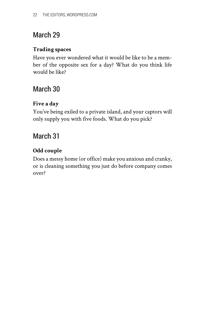## March 29

#### **Trading spaces**

Have you ever wondered what it would be like to be a member of the opposite sex for a day? What do you think life would be like?

## March 30

#### **Five a day**

You've being exiled to a private island, and your captors will only supply you with five foods. What do you pick?

## March 31

#### **Odd couple**

Does a messy home (or office) make you anxious and cranky, or is cleaning something you just do before company comes over?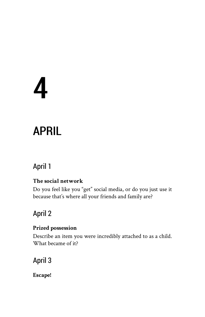# <span id="page-26-0"></span>4

# APRIL

## April 1

#### **The social network**

Do you feel like you "get" social media, or do you just use it because that's where all your friends and family are?

## April 2

#### **Prized possession**

Describe an item you were incredibly attached to as a child. What became of it?

## April 3

**Escape!**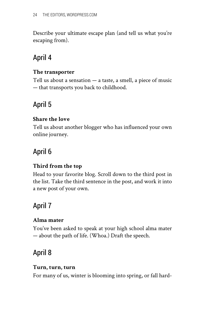Describe your ultimate escape plan (and tell us what you're escaping from).

## April 4

#### **The transporter**

Tell us about a sensation  $-$  a taste, a smell, a piece of music — that transports you back to childhood.

## April 5

#### **Share the love**

Tell us about another blogger who has influenced your own online journey.

## April 6

#### **Third from the top**

Head to your favorite blog. Scroll down to the third post in the list. Take the third sentence in the post, and work it into a new post of your own.

## April 7

#### **Alma mater**

You've been asked to speak at your high school alma mater — about the path of life. (Whoa.) Draft the speech.

## April 8

#### **Turn, turn, turn**

For many of us, winter is blooming into spring, or fall hard-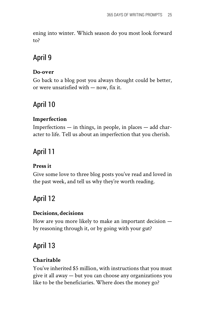ening into winter. Which season do you most look forward to?

## April 9

#### **Do-over**

Go back to a blog post you always thought could be better, or were unsatisfied with — now, fix it.

## April 10

#### **Imperfection**

Imperfections — in things, in people, in places — add character to life. Tell us about an imperfection that you cherish.

## April 11

#### **Press it**

Give some love to three blog posts you've read and loved in the past week, and tell us why they're worth reading.

## April 12

#### **Decisions, decisions**

How are you more likely to make an important decision by reasoning through it, or by going with your gut?

## April 13

#### **Charitable**

You've inherited \$5 million, with instructions that you must give it all away — but you can choose any organizations you like to be the beneficiaries. Where does the money go?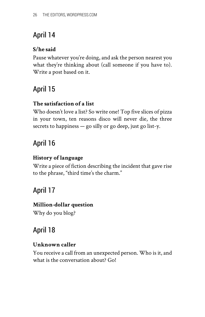#### **S/he said**

Pause whatever you're doing, and ask the person nearest you what they're thinking about (call someone if you have to). Write a post based on it.

## April 15

#### **The satisfaction of a list**

Who doesn't love a list? So write one! Top five slices of pizza in your town, ten reasons disco will never die, the three secrets to happiness — go silly or go deep, just go list-y.

## April 16

#### **History of language**

Write a piece of fiction describing the incident that gave rise to the phrase, "third time's the charm."

## April 17

#### **Million-dollar question**

Why do you blog?

## April 18

#### **Unknown caller**

You receive a call from an unexpected person. Who is it, and what is the conversation about? Go!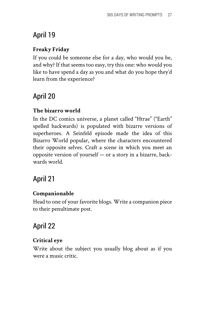#### **Freaky Friday**

If you could be someone else for a day, who would you be, and why? If that seems too easy, try this one: who would you like to have spend a day as you and what do you hope they'd learn from the experience?

## April 20

#### **The bizarro world**

In the DC comics universe, a planet called "Htrae" ("Earth" spelled backwards) is populated with bizarre versions of superheroes. A Seinfeld episode made the idea of this Bizarro World popular, where the characters encountered their opposite selves. Craft a scene in which you meet an opposite version of yourself — or a story in a bizarre, backwards world.

## April 21

#### **Companionable**

Head to one of your favorite blogs. Write a companion piece to their penultimate post.

## April 22

#### **Critical eye**

Write about the subject you usually blog about as if you were a music critic.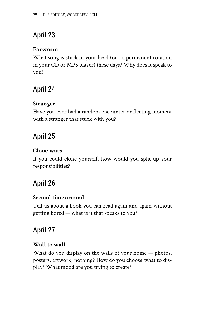#### **Earworm**

What song is stuck in your head (or on permanent rotation in your CD or MP3 player) these days? Why does it speak to you?

## April 24

#### **Stranger**

Have you ever had a random encounter or fleeting moment with a stranger that stuck with you?

## April 25

#### **Clone wars**

If you could clone yourself, how would you split up your responsibilities?

## April 26

#### **Second time around**

Tell us about a book you can read again and again without getting bored — what is it that speaks to you?

## April 27

#### **Wall to wall**

What do you display on the walls of your home — photos, posters, artwork, nothing? How do you choose what to display? What mood are you trying to create?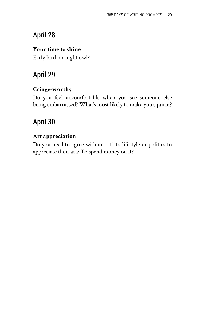#### **Your time to shine**

Early bird, or night owl?

## April 29

#### **Cringe-worthy**

Do you feel uncomfortable when you see someone else being embarrassed? What's most likely to make you squirm?

## April 30

#### **Art appreciation**

Do you need to agree with an artist's lifestyle or politics to appreciate their art? To spend money on it?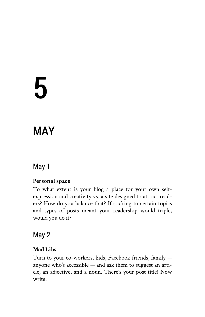# <span id="page-33-0"></span>5

## MAY

## May 1

#### **Personal space**

To what extent is your blog a place for your own selfexpression and creativity vs. a site designed to attract readers? How do you balance that? If sticking to certain topics and types of posts meant your readership would triple, would you do it?

## May 2

#### **Mad Libs**

Turn to your co-workers, kids, Facebook friends, family anyone who's accessible — and ask them to suggest an article, an adjective, and a noun. There's your post title! Now write.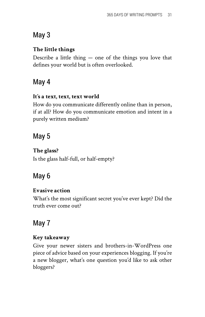## May 3

#### **The little things**

Describe a little thing  $-$  one of the things you love that defines your world but is often overlooked.

## May 4

#### **It's a text, text, text world**

How do you communicate differently online than in person, if at all? How do you communicate emotion and intent in a purely written medium?

## May 5

#### **The glass?**

Is the glass half-full, or half-empty?

## May 6

#### **Evasive action**

What's the most significant secret you've ever kept? Did the truth ever come out?

## May 7

#### **Key takeaway**

Give your newer sisters and brothers-in-WordPress one piece of advice based on your experiences blogging. If you're a new blogger, what's one question you'd like to ask other bloggers?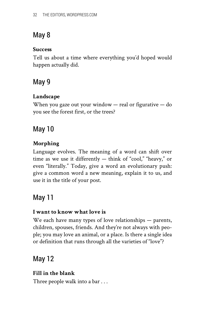## May 8

#### **Success**

Tell us about a time where everything you'd hoped would happen actually did.

## May 9

#### **Landscape**

When you gaze out your window — real or figurative — do you see the forest first, or the trees?

## May 10

#### **Morphing**

Language evolves. The meaning of a word can shift over time as we use it differently — think of "cool," "heavy," or even "literally." Today, give a word an evolutionary push: give a common word a new meaning, explain it to us, and use it in the title of your post.

## May 11

#### **I want to know what love is**

We each have many types of love relationships — parents, children, spouses, friends. And they're not always with people; you may love an animal, or a place. Is there a single idea or definition that runs through all the varieties of "love"?

## May 12

#### **Fill in the blank**

Three people walk into a bar . . .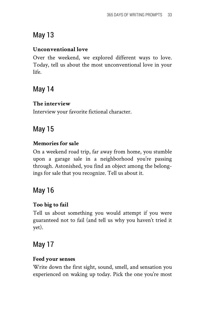## May 13

#### **Unconventional love**

Over the weekend, we explored different ways to love. Today, tell us about the most unconventional love in your life.

## May 14

#### **The interview**

Interview your favorite fictional character.

## May 15

#### **Memories for sale**

On a weekend road trip, far away from home, you stumble upon a garage sale in a neighborhood you're passing through. Astonished, you find an object among the belongings for sale that you recognize. Tell us about it.

## May 16

#### **Too big to fail**

Tell us about something you would attempt if you were guaranteed not to fail (and tell us why you haven't tried it yet).

## May 17

#### **Feed your senses**

Write down the first sight, sound, smell, and sensation you experienced on waking up today. Pick the one you're most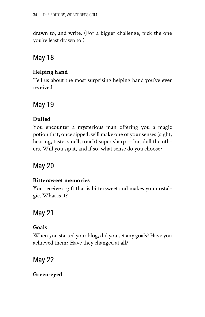drawn to, and write. (For a bigger challenge, pick the one you're least drawn to.)

## May 18

#### **Helping hand**

Tell us about the most surprising helping hand you've ever received.

## May 19

#### **Dulled**

You encounter a mysterious man offering you a magic potion that, once sipped, will make one of your senses (sight, hearing, taste, smell, touch) super sharp — but dull the others. Will you sip it, and if so, what sense do you choose?

## May 20

#### **Bittersweet memories**

You receive a gift that is bittersweet and makes you nostalgic. What is it?

## May 21

#### **Goals**

When you started your blog, did you set any goals? Have you achieved them? Have they changed at all?

## May 22

**Green-eyed**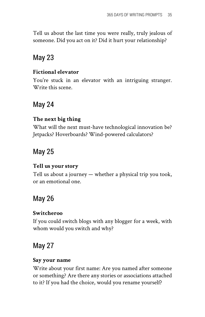Tell us about the last time you were really, truly jealous of someone. Did you act on it? Did it hurt your relationship?

## May 23

#### **Fictional elevator**

You're stuck in an elevator with an intriguing stranger. Write this scene.

## May 24

#### **The next big thing**

What will the next must-have technological innovation be? Jetpacks? Hoverboards? Wind-powered calculators?

## May 25

#### **Tell us your story**

Tell us about a journey — whether a physical trip you took, or an emotional one.

## May 26

#### **Switcheroo**

If you could switch blogs with any blogger for a week, with whom would you switch and why?

## May 27

#### **Say your name**

Write about your first name: Are you named after someone or something? Are there any stories or associations attached to it? If you had the choice, would you rename yourself?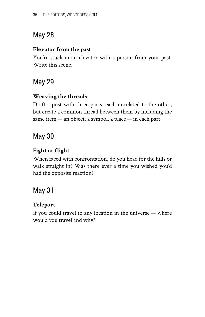## May 28

#### **Elevator from the past**

You're stuck in an elevator with a person from your past. Write this scene.

## May 29

#### **Weaving the threads**

Draft a post with three parts, each unrelated to the other, but create a common thread between them by including the same item — an object, a symbol, a place — in each part.

## May 30

#### **Fight or flight**

When faced with confrontation, do you head for the hills or walk straight in? Was there ever a time you wished you'd had the opposite reaction?

## May 31

#### **Teleport**

If you could travel to any location in the universe — where would you travel and why?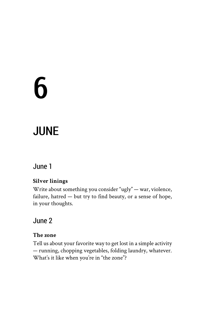# 6

## JUNE

## June 1

#### **Silver linings**

Write about something you consider "ugly" — war, violence, failure, hatred — but try to find beauty, or a sense of hope, in your thoughts.

## June 2

#### **The zone**

Tell us about your favorite way to get lost in a simple activity — running, chopping vegetables, folding laundry, whatever. What's it like when you're in "the zone"?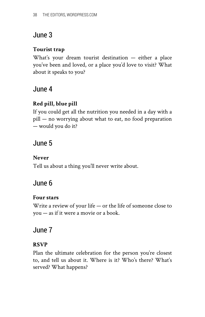#### **Tourist trap**

What's your dream tourist destination — either a place you've been and loved, or a place you'd love to visit? What about it speaks to you?

## June 4

#### **Red pill, blue pill**

If you could get all the nutrition you needed in a day with a pill — no worrying about what to eat, no food preparation — would you do it?

## June 5

#### **Never**

Tell us about a thing you'll never write about.

## June 6

#### **Four stars**

Write a review of your life — or the life of someone close to you — as if it were a movie or a book.

## June 7

#### **RSVP**

Plan the ultimate celebration for the person you're closest to, and tell us about it. Where is it? Who's there? What's served? What happens?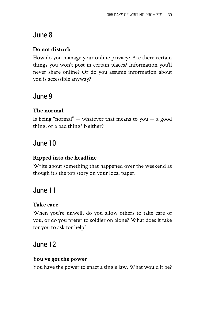#### **Do not disturb**

How do you manage your online privacy? Are there certain things you won't post in certain places? Information you'll never share online? Or do you assume information about you is accessible anyway?

## June 9

#### **The normal**

Is being "normal" — whatever that means to you — a good thing, or a bad thing? Neither?

## June 10

#### **Ripped into the headline**

Write about something that happened over the weekend as though it's the top story on your local paper.

## June 11

#### **Take care**

When you're unwell, do you allow others to take care of you, or do you prefer to soldier on alone? What does it take for you to ask for help?

## June 12

#### **You've got the power**

You have the power to enact a single law. What would it be?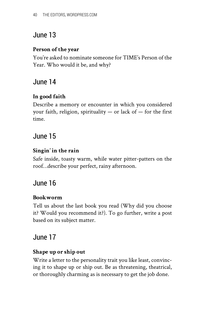#### **Person of the year**

You're asked to nominate someone for TIME's Person of the Year. Who would it be, and why?

## June 14

#### **In good faith**

Describe a memory or encounter in which you considered your faith, religion, spirituality  $-$  or lack of  $-$  for the first time.

### June 15

#### **Singin' in the rain**

Safe inside, toasty warm, while water pitter-patters on the roof…describe your perfect, rainy afternoon.

## June 16

#### **Bookworm**

Tell us about the last book you read (Why did you choose it? Would you recommend it?). To go further, write a post based on its subject matter.

#### June 17

#### **Shape up or ship out**

Write a letter to the personality trait you like least, convincing it to shape up or ship out. Be as threatening, theatrical, or thoroughly charming as is necessary to get the job done.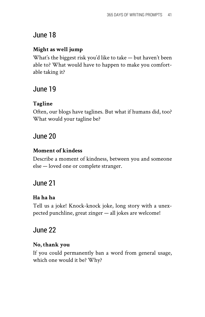#### **Might as well jump**

What's the biggest risk you'd like to take — but haven't been able to? What would have to happen to make you comfortable taking it?

## June 19

#### **Tagline**

Often, our blogs have taglines. But what if humans did, too? What would your tagline be?

## June 20

#### **Moment of kindess**

Describe a moment of kindness, between you and someone else — loved one or complete stranger.

## June 21

#### **Ha ha ha**

Tell us a joke! Knock-knock joke, long story with a unexpected punchline, great zinger — all jokes are welcome!

## June 22

#### **No, thank you**

If you could permanently ban a word from general usage, which one would it be? Why?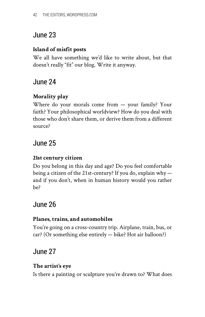#### **Island of misfit posts**

We all have something we'd like to write about, but that doesn't really "fit" our blog. Write it anyway.

## June 24

#### **Morality play**

Where do your morals come from — your family? Your faith? Your philosophical worldview? How do you deal with those who don't share them, or derive them from a different source?

## June 25

#### **21st century citizen**

Do you belong in this day and age? Do you feel comfortable being a citizen of the 21st-century? If you do, explain why and if you don't, when in human history would you rather be?

## June 26

#### **Planes, trains, and automobiles**

You're going on a cross-country trip. Airplane, train, bus, or car? (Or something else entirely — bike? Hot air balloon?)

## June 27

#### **The artist's eye**

Is there a painting or sculpture you're drawn to? What does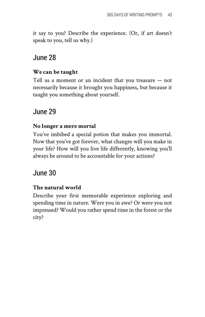it say to you? Describe the experience. (Or, if art doesn't speak to you, tell us why.)

## June 28

#### **We can be taught**

Tell us a moment or an incident that you treasure — not necessarily because it brought you happiness, but because it taught you something about yourself.

## June 29

#### **No longer a mere mortal**

You've imbibed a special potion that makes you immortal. Now that you've got forever, what changes will you make in your life? How will you live life differently, knowing you'll always be around to be accountable for your actions?

## June 30

#### **The natural world**

Describe your first memorable experience exploring and spending time in nature. Were you in awe? Or were you not impressed? Would you rather spend time in the forest or the city?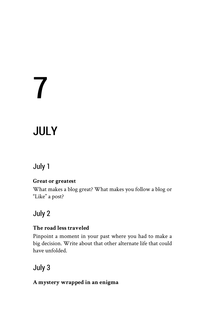# 7

## JULY

## July 1

#### **Great or greatest**

What makes a blog great? What makes you follow a blog or "Like" a post?

## July 2

#### **The road less traveled**

Pinpoint a moment in your past where you had to make a big decision. Write about that other alternate life that could have unfolded.

## July 3

#### **A mystery wrapped in an enigma**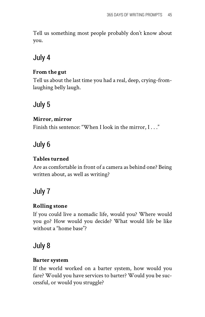Tell us something most people probably don't know about you.

## July 4

#### **From the gut**

Tell us about the last time you had a real, deep, crying-fromlaughing belly laugh.

## July 5

#### **Mirror, mirror**

Finish this sentence: "When I look in the mirror, I . . ."

## July 6

#### **Tables turned**

Are as comfortable in front of a camera as behind one? Being written about, as well as writing?

## July 7

#### **Rolling stone**

If you could live a nomadic life, would you? Where would you go? How would you decide? What would life be like without a "home base"?

## July 8

#### **Barter system**

If the world worked on a barter system, how would you fare? Would you have services to barter? Would you be successful, or would you struggle?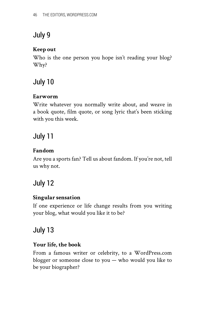#### **Keep out**

Who is the one person you hope isn't reading your blog? Why?

## July 10

#### **Earworm**

Write whatever you normally write about, and weave in a book quote, film quote, or song lyric that's been sticking with you this week.

## July 11

#### **Fandom**

Are you a sports fan? Tell us about fandom. If you're not, tell us why not.

## July 12

#### **Singular sensation**

If one experience or life change results from you writing your blog, what would you like it to be?

## July 13

#### **Your life, the book**

From a famous writer or celebrity, to a WordPress.com blogger or someone close to you — who would you like to be your biographer?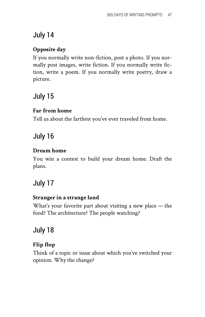#### **Opposite day**

If you normally write non-fiction, post a photo. If you normally post images, write fiction. If you normally write fiction, write a poem. If you normally write poetry, draw a picture.

## July 15

#### **Far from home**

Tell us about the farthest you've ever traveled from home.

## July 16

#### **Dream home**

You win a contest to build your dream home. Draft the plans.

## July 17

#### **Stranger in a strange land**

What's your favorite part about visiting a new place — the food? The architecture? The people watching?

## July 18

#### **Flip flop**

Think of a topic or issue about which you've switched your opinion. Why the change?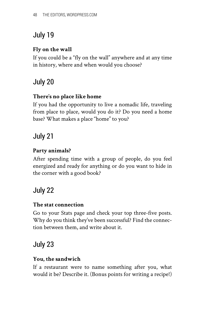#### **Fly on the wall**

If you could be a "fly on the wall" anywhere and at any time in history, where and when would you choose?

## July 20

#### **There's no place like home**

If you had the opportunity to live a nomadic life, traveling from place to place, would you do it? Do you need a home base? What makes a place "home" to you?

## July 21

#### **Party animals?**

After spending time with a group of people, do you feel energized and ready for anything or do you want to hide in the corner with a good book?

## July 22

#### **The stat connection**

Go to your Stats page and check your top three-five posts. Why do you think they've been successful? Find the connection between them, and write about it.

## July 23

#### **You, the sandwich**

If a restaurant were to name something after you, what would it be? Describe it. (Bonus points for writing a recipe!)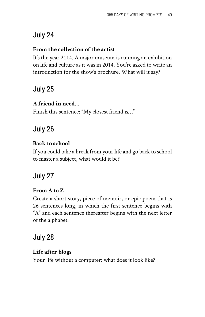#### **From the collection of the artist**

It's the year 2114. A major museum is running an exhibition on life and culture as it was in 2014. You're asked to write an introduction for the show's brochure. What will it say?

## July 25

#### **A friend in need…**

Finish this sentence: "My closest friend is…"

## July 26

#### **Back to school**

If you could take a break from your life and go back to school to master a subject, what would it be?

## July 27

#### **From A to Z**

Create a short story, piece of memoir, or epic poem that is 26 sentences long, in which the first sentence begins with "A" and each sentence thereafter begins with the next letter of the alphabet.

## July 28

#### **Life after blogs**

Your life without a computer: what does it look like?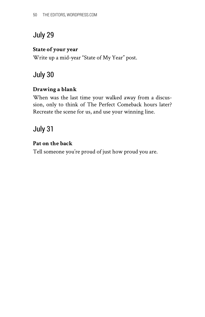#### **State of your year**

Write up a mid-year "State of My Year" post.

## July 30

#### **Drawing a blank**

When was the last time your walked away from a discussion, only to think of The Perfect Comeback hours later? Recreate the scene for us, and use your winning line.

## July 31

#### **Pat on the back**

Tell someone you're proud of just how proud you are.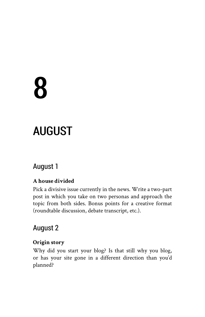# 8

## AUGUST

## August 1

#### **A house divided**

Pick a divisive issue currently in the news. Write a two-part post in which you take on two personas and approach the topic from both sides. Bonus points for a creative format (roundtable discussion, debate transcript, etc.).

## August 2

#### **Origin story**

Why did you start your blog? Is that still why you blog, or has your site gone in a different direction than you'd planned?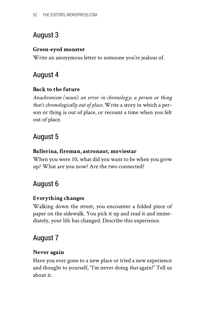#### **Green-eyed monster**

Write an anonymous letter to someone you're jealous of.

## August 4

#### **Back to the future**

*Anachronism (noun): an error in chronology; a person or thing that's chronologically out of place.* Write a story in which a person or thing is out of place, or recount a time when you felt out of place.

## August 5

#### **Ballerina, fireman, astronaut, moviestar**

When you were 10, what did you want to be when you grew up? What are you now? Are the two connected?

## August 6

#### **Everything changes**

Walking down the street, you encounter a folded piece of paper on the sidewalk. You pick it up and read it and immediately, your life has changed. Describe this experience.

## August 7

#### **Never again**

Have you ever gone to a new place or tried a new experience and thought to yourself, "I'm never doing *that* again!" Tell us about it.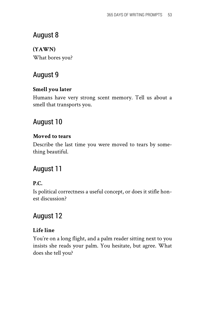**(YAWN)** What bores you?

## August 9

#### **Smell you later**

Humans have very strong scent memory. Tell us about a smell that transports you.

## August 10

#### **Moved to tears**

Describe the last time you were moved to tears by something beautiful.

## August 11

#### **P.C.**

Is political correctness a useful concept, or does it stifle honest discussion?

## August 12

#### **Life line**

You're on a long flight, and a palm reader sitting next to you insists she reads your palm. You hesitate, but agree. What does she tell you?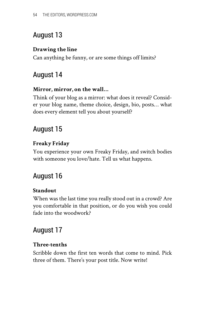#### **Drawing the line**

Can anything be funny, or are some things off limits?

## August 14

#### **Mirror, mirror, on the wall…**

Think of your blog as a mirror: what does it reveal? Consider your blog name, theme choice, design, bio, posts… what does every element tell you about yourself?

## August 15

#### **Freaky Friday**

You experience your own Freaky Friday, and switch bodies with someone you love/hate. Tell us what happens.

## August 16

#### **Standout**

When was the last time you really stood out in a crowd? Are you comfortable in that position, or do you wish you could fade into the woodwork?

## August 17

#### **Three-tenths**

Scribble down the first ten words that come to mind. Pick three of them. There's your post title. Now write!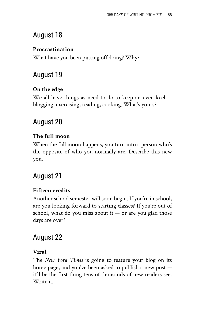#### **Procrastination**

What have you been putting off doing? Why?

## August 19

#### **On the edge**

We all have things as need to do to keep an even keel blogging, exercising, reading, cooking. What's yours?

## August 20

#### **The full moon**

When the full moon happens, you turn into a person who's the opposite of who you normally are. Describe this new you.

## August 21

#### **Fifteen credits**

Another school semester will soon begin. If you're in school, are you looking forward to starting classes? If you're out of school, what do you miss about it  $-$  or are you glad those days are over?

## August 22

#### **Viral**

The *New York Times* is going to feature your blog on its home page, and you've been asked to publish a new post it'll be the first thing tens of thousands of new readers see. Write it.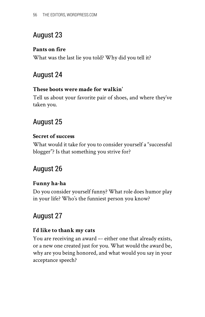#### **Pants on fire**

What was the last lie you told? Why did you tell it?

## August 24

#### **These boots were made for walkin'**

Tell us about your favorite pair of shoes, and where they've taken you.

## August 25

#### **Secret of success**

What would it take for you to consider yourself a "successful blogger"? Is that something you strive for?

## August 26

#### **Funny ha-ha**

Do you consider yourself funny? What role does humor play in your life? Who's the funniest person you know?

## August 27

#### **I'd like to thank my cats**

You are receiving an award –- either one that already exists, or a new one created just for you. What would the award be, why are you being honored, and what would you say in your acceptance speech?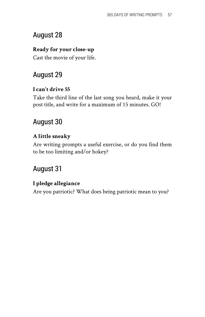#### **Ready for your close-up**

Cast the movie of your life.

## August 29

#### **I can't drive 55**

Take the third line of the last song you heard, make it your post title, and write for a maximum of 15 minutes. GO!

## August 30

#### **A little sneaky**

Are writing prompts a useful exercise, or do you find them to be too limiting and/or hokey?

## August 31

#### **I pledge allegiance**

Are you patriotic? What does being patriotic mean to you?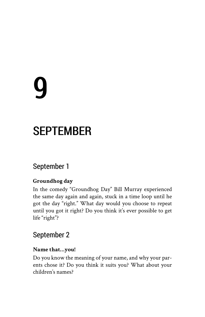# 9

## **SEPTEMBER**

## September 1

#### **Groundhog day**

In the comedy "Groundhog Day" Bill Murray experienced the same day again and again, stuck in a time loop until he got the day "right." What day would you choose to repeat until you got it right? Do you think it's ever possible to get life "right"?

## September 2

#### **Name that…you!**

Do you know the meaning of your name, and why your parents chose it? Do you think it suits you? What about your children's names?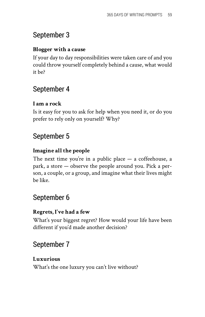#### **Blogger with a cause**

If your day to day responsibilities were taken care of and you could throw yourself completely behind a cause, what would it be?

## September 4

#### **I am a rock**

Is it easy for you to ask for help when you need it, or do you prefer to rely only on yourself? Why?

## September 5

#### **Imagine all the people**

The next time you're in a public place — a coffeehouse, a park, a store — observe the people around you. Pick a person, a couple, or a group, and imagine what their lives might be like.

## September 6

#### **Regrets, I've had a few**

What's your biggest regret? How would your life have been different if you'd made another decision?

## September 7

#### **Luxurious**

What's the one luxury you can't live without?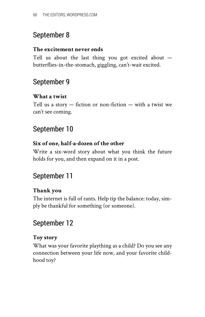#### **The excitement never ends**

Tell us about the last thing you got excited about butterflies-in-the-stomach, giggling, can't-wait excited.

## September 9

#### **What a twist**

Tell us a story  $-$  fiction or non-fiction  $-$  with a twist we can't see coming.

## September 10

#### **Six of one, half-a-dozen of the other**

Write a six-word story about what you think the future holds for you, and then expand on it in a post.

## September 11

#### **Thank you**

The internet is full of rants. Help tip the balance: today, simply be thankful for something (or someone).

## September 12

#### **Toy story**

What was your favorite plaything as a child? Do you see any connection between your life now, and your favorite childhood toy?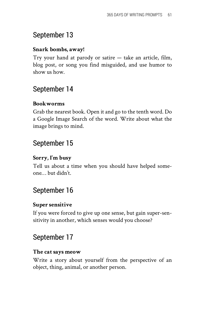#### **Snark bombs, away!**

Try your hand at parody or satire — take an article, film, blog post, or song you find misguided, and use humor to show us how.

## September 14

#### **Bookworms**

Grab the nearest book. Open it and go to the tenth word. Do a Google Image Search of the word. Write about what the image brings to mind.

## September 15

#### **Sorry, I'm busy**

Tell us about a time when you should have helped someone… but didn't.

## September 16

#### **Super sensitive**

If you were forced to give up one sense, but gain super-sensitivity in another, which senses would you choose?

## September 17

#### **The cat says meow**

Write a story about yourself from the perspective of an object, thing, animal, or another person.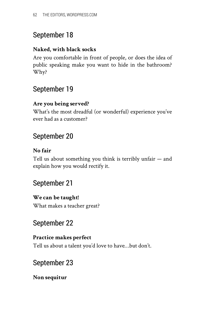#### **Naked, with black socks**

Are you comfortable in front of people, or does the idea of public speaking make you want to hide in the bathroom? Why?

## September 19

#### **Are you being served?**

What's the most dreadful (or wonderful) experience you've ever had as a customer?

## September 20

#### **No fair**

Tell us about something you think is terribly unfair — and explain how you would rectify it.

## September 21

#### **We can be taught!**

What makes a teacher great?

## September 22

#### **Practice makes perfect**

Tell us about a talent you'd love to have…but don't.

## September 23

#### **Non sequitur**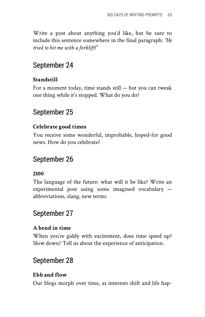Write a post about anything you'd like, but be sure to include this sentence somewhere in the final paragraph: *"He tried to hit me with a forklift!"*

## September 24

#### **Standstill**

For a moment today, time stands  $still - but you can tweak$ one thing while it's stopped. What do you do?

## September 25

#### **Celebrate good times**

You receive some wonderful, improbable, hoped-for good news. How do you celebrate?

## September 26

#### **2100**

The language of the future: what will it be like? Write an experimental post using some imagined vocabulary abbreviations, slang, new terms.

## September 27

#### **A bend in time**

When you're giddy with excitement, does time speed up? Slow down? Tell us about the experience of anticipation.

## September 28

#### **Ebb and flow**

Our blogs morph over time, as interests shift and life hap-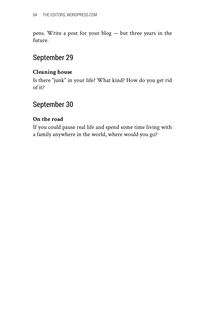pens. Write a post for your blog — but three years in the future.

## September 29

#### **Cleaning house**

Is there "junk" in your life? What kind? How do you get rid of it?

## September 30

#### **On the road**

If you could pause real life and spend some time living with a family anywhere in the world, where would you go?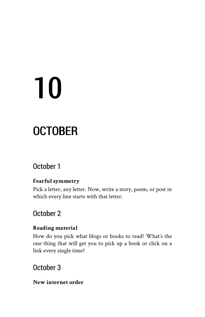# 10

## **OCTOBER**

## October 1

#### **Fearful symmetry**

Pick a letter, any letter. Now, write a story, poem, or post in which every line starts with that letter.

## October 2

#### **Reading material**

How do you pick what blogs or books to read? What's the one thing that will get you to pick up a book or click on a link every single time?

## October 3

#### **New internet order**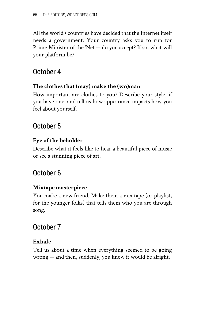All the world's countries have decided that the Internet itself needs a government. Your country asks you to run for Prime Minister of the 'Net — do you accept? If so, what will your platform be?

## October 4

#### **The clothes that (may) make the (wo)man**

How important are clothes to you? Describe your style, if you have one, and tell us how appearance impacts how you feel about yourself.

## October 5

#### **Eye of the beholder**

Describe what it feels like to hear a beautiful piece of music or see a stunning piece of art.

## October 6

#### **Mixtape masterpiece**

You make a new friend. Make them a mix tape (or playlist, for the younger folks) that tells them who you are through song.

## October 7

#### **Exhale**

Tell us about a time when everything seemed to be going wrong — and then, suddenly, you knew it would be alright.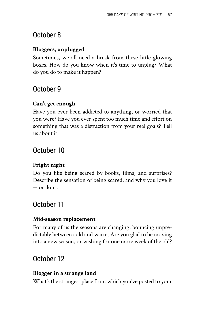## October 8

#### **Bloggers, unplugged**

Sometimes, we all need a break from these little glowing boxes. How do you know when it's time to unplug? What do you do to make it happen?

## October 9

#### **Can't get enough**

Have you ever been addicted to anything, or worried that you were? Have you ever spent too much time and effort on something that was a distraction from your real goals? Tell us about it.

## October 10

#### **Fright night**

Do you like being scared by books, films, and surprises? Describe the sensation of being scared, and why you love it — or don't.

## October 11

#### **Mid-season replacement**

For many of us the seasons are changing, bouncing unpredictably between cold and warm. Are you glad to be moving into a new season, or wishing for one more week of the old?

## October 12

#### **Blogger in a strange land**

What's the strangest place from which you've posted to your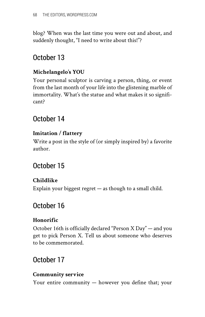blog? When was the last time you were out and about, and suddenly thought, "I need to write about this!"?

## October 13

#### **Michelangelo's YOU**

Your personal sculptor is carving a person, thing, or event from the last month of your life into the glistening marble of immortality. What's the statue and what makes it so significant?

## October 14

#### **Imitation / flattery**

Write a post in the style of (or simply inspired by) a favorite author.

## October 15

#### **Childlike**

Explain your biggest regret — as though to a small child.

## October 16

#### **Honorific**

October 16th is officially declared "Person X Day" — and you get to pick Person X. Tell us about someone who deserves to be commemorated.

## October 17

#### **Community service**

Your entire community — however you define that; your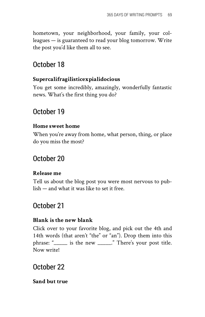hometown, your neighborhood, your family, your colleagues — is guaranteed to read your blog tomorrow. Write the post you'd like them all to see.

## October 18

#### **Supercalifragilisticexpialidocious**

You get some incredibly, amazingly, wonderfully fantastic news. What's the first thing you do?

## October 19

#### **Home sweet home**

When you're away from home, what person, thing, or place do you miss the most?

## October 20

#### **Release me**

Tell us about the blog post you were most nervous to publish — and what it was like to set it free.

## October 21

#### **Blank is the new blank**

Click over to your favorite blog, and pick out the 4th and 14th words (that aren't "the" or "an"). Drop them into this phrase: "\_\_\_\_\_ is the new \_\_\_\_\_." There's your post title. Now write!

### October 22

#### **Sand but true**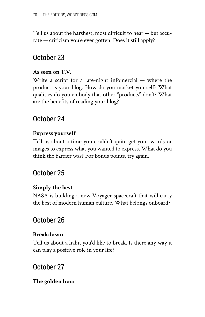Tell us about the harshest, most difficult to hear — but accurate — criticism you'e ever gotten. Does it still apply?

## October 23

#### **As seen on T.V.**

Write a script for a late-night infomercial  $-$  where the product is your blog. How do you market yourself? What qualities do you embody that other "products" don't? What are the benefits of reading your blog?

## October 24

#### **Express yourself**

Tell us about a time you couldn't quite get your words or images to express what you wanted to express. What do you think the barrier was? For bonus points, try again.

## October 25

#### **Simply the best**

NASA is building a new Voyager spacecraft that will carry the best of modern human culture. What belongs onboard?

## October 26

#### **Breakdown**

Tell us about a habit you'd like to break. Is there any way it can play a positive role in your life?

## October 27

#### **The golden hour**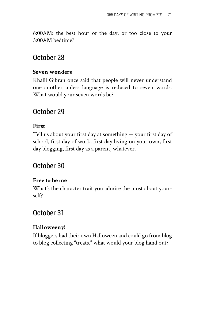6:00AM: the best hour of the day, or too close to your 3:00AM bedtime?

## October 28

#### **Seven wonders**

Khalil Gibran once said that people will never understand one another unless language is reduced to seven words. What would your seven words be?

## October 29

#### **First**

Tell us about your first day at something — your first day of school, first day of work, first day living on your own, first day blogging, first day as a parent, whatever.

## October 30

#### **Free to be me**

What's the character trait you admire the most about yourself?

## October 31

#### **Halloweeny!**

If bloggers had their own Halloween and could go from blog to blog collecting "treats," what would your blog hand out?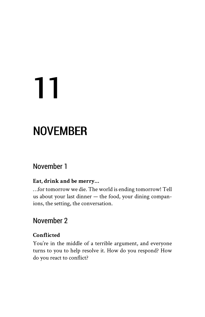# 11

## NOVEMBER

## November 1

#### **Eat, drink and be merry…**

…for tomorrow we die. The world is ending tomorrow! Tell us about your last dinner — the food, your dining companions, the setting, the conversation.

## November 2

#### **Conflicted**

You're in the middle of a terrible argument, and everyone turns to you to help resolve it. How do you respond? How do you react to conflict?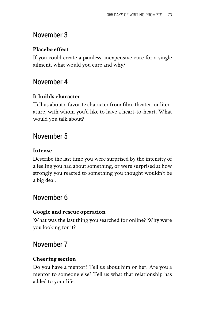#### **Placebo effect**

If you could create a painless, inexpensive cure for a single ailment, what would you cure and why?

## November 4

#### **It builds character**

Tell us about a favorite character from film, theater, or literature, with whom you'd like to have a heart-to-heart. What would you talk about?

## November 5

#### **Intense**

Describe the last time you were surprised by the intensity of a feeling you had about something, or were surprised at how strongly you reacted to something you thought wouldn't be a big deal.

## November 6

#### **Google and rescue operation**

What was the last thing you searched for online? Why were you looking for it?

## November 7

#### **Cheering section**

Do you have a mentor? Tell us about him or her. Are you a mentor to someone else? Tell us what that relationship has added to your life.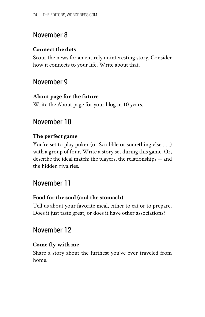#### **Connect the dots**

Scour the news for an entirely uninteresting story. Consider how it connects to your life. Write about that.

## November 9

#### **About page for the future**

Write the About page for your blog in 10 years.

## November 10

#### **The perfect game**

You're set to play poker (or Scrabble or something else . . .) with a group of four. Write a story set during this game. Or, describe the ideal match: the players, the relationships — and the hidden rivalries.

## November 11

#### **Food for the soul (and the stomach)**

Tell us about your favorite meal, either to eat or to prepare. Does it just taste great, or does it have other associations?

## November 12

#### **Come fly with me**

Share a story about the furthest you've ever traveled from home.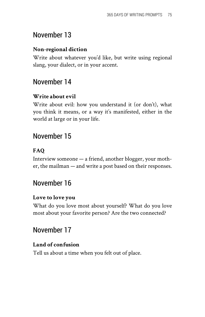#### **Non-regional diction**

Write about whatever you'd like, but write using regional slang, your dialect, or in your accent.

## November 14

#### **Write about evil**

Write about evil: how you understand it (or don't), what you think it means, or a way it's manifested, either in the world at large or in your life.

## November 15

#### **FAQ**

Interview someone — a friend, another blogger, your mother, the mailman — and write a post based on their responses.

## November 16

#### **Love to love you**

What do you love most about yourself? What do you love most about your favorite person? Are the two connected?

## November 17

#### **Land of confusion**

Tell us about a time when you felt out of place.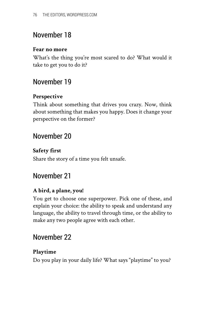#### **Fear no more**

What's the thing you're most scared to do? What would it take to get you to do it?

## November 19

#### **Perspective**

Think about something that drives you crazy. Now, think about something that makes you happy. Does it change your perspective on the former?

## November 20

#### **Safety first**

Share the story of a time you felt unsafe.

## November 21

#### **A bird, a plane, you!**

You get to choose one superpower. Pick one of these, and explain your choice: the ability to speak and understand any language, the ability to travel through time, or the ability to make any two people agree with each other.

## November 22

#### **Playtime**

Do you play in your daily life? What says "playtime" to you?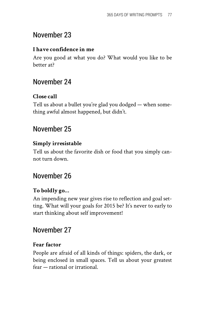#### **I have confidence in me**

Are you good at what you do? What would you like to be better at?

## November 24

#### **Close call**

Tell us about a bullet you're glad you dodged — when something awful almost happened, but didn't.

## November 25

#### **Simply irresistable**

Tell us about the favorite dish or food that you simply cannot turn down.

## November 26

#### **To boldly go…**

An impending new year gives rise to reflection and goal setting. What will your goals for 2015 be? It's never to early to start thinking about self improvement!

## November 27

#### **Fear factor**

People are afraid of all kinds of things: spiders, the dark, or being enclosed in small spaces. Tell us about your greatest fear — rational or irrational.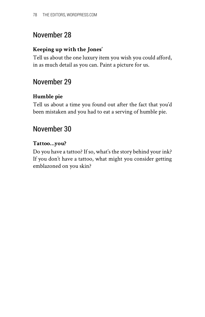#### **Keeping up with the Jones'**

Tell us about the one luxury item you wish you could afford, in as much detail as you can. Paint a picture for us.

## November 29

#### **Humble pie**

Tell us about a time you found out after the fact that you'd been mistaken and you had to eat a serving of humble pie.

## November 30

#### **Tattoo…you?**

Do you have a tattoo? If so, what's the story behind your ink? If you don't have a tattoo, what might you consider getting emblazoned on you skin?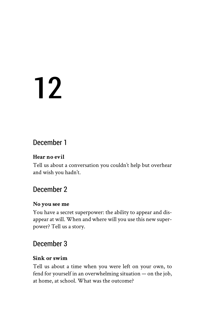## 12

## December 1

#### **Hear no evil**

Tell us about a conversation you couldn't help but overhear and wish you hadn't.

## December 2

#### **No you see me**

You have a secret superpower: the ability to appear and disappear at will. When and where will you use this new superpower? Tell us a story.

## December 3

#### **Sink or swim**

Tell us about a time when you were left on your own, to fend for yourself in an overwhelming situation — on the job, at home, at school. What was the outcome?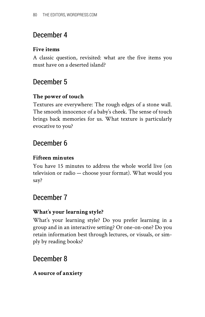## December 4

#### **Five items**

A classic question, revisited: what are the five items you must have on a deserted island?

## December 5

#### **The power of touch**

Textures are everywhere: The rough edges of a stone wall. The smooth innocence of a baby's cheek. The sense of touch brings back memories for us. What texture is particularly evocative to you?

## December 6

#### **Fifteen minutes**

You have 15 minutes to address the whole world live (on television or radio — choose your format). What would you say?

## December 7

#### **What's your learning style?**

What's your learning style? Do you prefer learning in a group and in an interactive setting? Or one-on-one? Do you retain information best through lectures, or visuals, or simply by reading books?

## December 8

#### **A source of anxiety**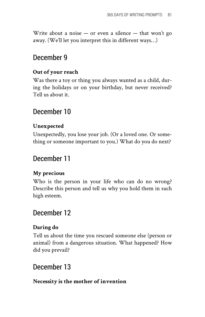Write about a noise  $-$  or even a silence  $-$  that won't go away. (We'll let you interpret this in different ways…)

## December 9

#### **Out of your reach**

Was there a toy or thing you always wanted as a child, during the holidays or on your birthday, but never received? Tell us about it.

## December 10

#### **Unexpected**

Unexpectedly, you lose your job. (Or a loved one. Or something or someone important to you.) What do you do next?

## December 11

#### **My precious**

Who is the person in your life who can do no wrong? Describe this person and tell us why you hold them in such high esteem.

### December 12

#### **Daring do**

Tell us about the time you rescued someone else (person or animal) from a dangerous situation. What happened? How did you prevail?

## December 13

#### **Necessity is the mother of invention**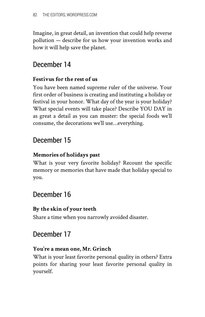Imagine, in great detail, an invention that could help reverse pollution — describe for us how your invention works and how it will help save the planet.

## December 14

#### **Festivus for the rest of us**

You have been named supreme ruler of the universe. Your first order of business is creating and instituting a holiday or festival in your honor. What day of the year is your holiday? What special events will take place? Describe YOU DAY in as great a detail as you can muster: the special foods we'll consume, the decorations we'll use…everything.

## December 15

#### **Memories of holidays past**

What is your very favorite holiday? Recount the specific memory or memories that have made that holiday special to you.

## December 16

#### **By the skin of your teeth**

Share a time when you narrowly avoided disaster.

## December 17

#### **You're a mean one, Mr. Grinch**

What is your least favorite personal quality in others? Extra points for sharing your least favorite personal quality in yourself.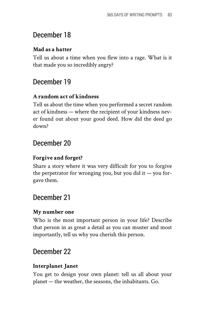## December 18

#### **Mad as a hatter**

Tell us about a time when you flew into a rage. What is it that made you so incredibly angry?

## December 19

#### **A random act of kindness**

Tell us about the time when you performed a secret random act of kindness — where the recipient of your kindness never found out about your good deed. How did the deed go down?

## December 20

#### **Forgive and forget?**

Share a story where it was very difficult for you to forgive the perpetrator for wronging you, but you did it  $-$  you forgave them.

## December 21

#### **My number one**

Who is the most important person in your life? Describe that person in as great a detail as you can muster and most importantly, tell us why you cherish this person.

## December 22

#### **Interplanet Janet**

You get to design your own planet: tell us all about your planet — the weather, the seasons, the inhabitants. Go.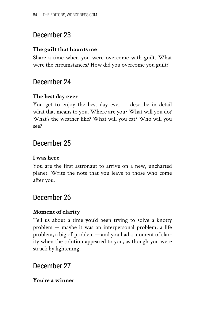## December 23

#### **The guilt that haunts me**

Share a time when you were overcome with guilt. What were the circumstances? How did you overcome you guilt?

## December 24

#### **The best day ever**

You get to enjoy the best day ever — describe in detail what that means to you. Where are you? What will you do? What's the weather like? What will you eat? Who will you see?

## December 25

#### **I was here**

You are the first astronaut to arrive on a new, uncharted planet. Write the note that you leave to those who come after you.

## December 26

#### **Moment of clarity**

Tell us about a time you'd been trying to solve a knotty problem — maybe it was an interpersonal problem, a life problem, a big ol' problem — and you had a moment of clarity when the solution appeared to you, as though you were struck by lightening.

## December 27

#### **You're a winner**